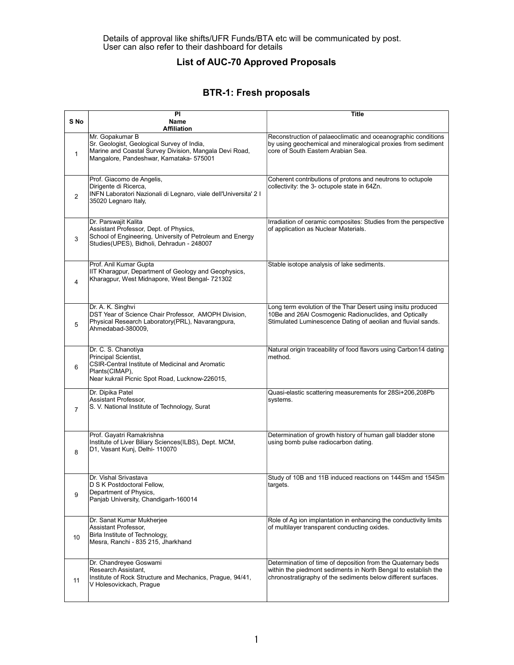#### List of AUC-70 Approved Proposals

#### BTR-1: Fresh proposals

| S <sub>No</sub> | PI<br>Name                                                                                                                                                                                | Title                                                                                                                                                                                           |
|-----------------|-------------------------------------------------------------------------------------------------------------------------------------------------------------------------------------------|-------------------------------------------------------------------------------------------------------------------------------------------------------------------------------------------------|
| $\mathbf{1}$    | <b>Affiliation</b><br>Mr. Gopakumar B<br>Sr. Geologist, Geological Survey of India,<br>Marine and Coastal Survey Division, Mangala Devi Road,<br>Mangalore, Pandeshwar, Karnataka- 575001 | Reconstruction of palaeoclimatic and oceanographic conditions<br>by using geochemical and mineralogical proxies from sediment<br>core of South Eastern Arabian Sea.                             |
| 2               | Prof. Giacomo de Angelis,<br>Dirigente di Ricerca,<br>INFN Laboratori Nazionali di Legnaro, viale dell'Universita' 2 l<br>35020 Legnaro Italy,                                            | Coherent contributions of protons and neutrons to octupole<br>collectivity: the 3- octupole state in 64Zn.                                                                                      |
| 3               | Dr. Parswajit Kalita<br>Assistant Professor, Dept. of Physics,<br>School of Engineering, University of Petroleum and Energy<br>Studies(UPES), Bidholi, Dehradun - 248007                  | Irradiation of ceramic composites: Studies from the perspective<br>of application as Nuclear Materials.                                                                                         |
| 4               | Prof. Anil Kumar Gupta<br>IIT Kharagpur, Department of Geology and Geophysics,<br>Kharagpur, West Midnapore, West Bengal- 721302                                                          | Stable isotope analysis of lake sediments.                                                                                                                                                      |
| 5               | Dr. A. K. Singhvi<br>DST Year of Science Chair Professor, AMOPH Division,<br>Physical Research Laboratory(PRL), Navarangpura,<br>Ahmedabad-380009,                                        | Long term evolution of the Thar Desert using insitu produced<br>10Be and 26AI Cosmogenic Radionuclides, and Optically<br>Stimulated Luminescence Dating of aeolian and fluvial sands.           |
| 6               | Dr. C. S. Chanotiya<br>Principal Scientist,<br>CSIR-Central Institute of Medicinal and Aromatic<br>Plants(CIMAP),<br>Near kukrail Picnic Spot Road, Lucknow-226015,                       | Natural origin traceability of food flavors using Carbon14 dating<br>method.                                                                                                                    |
| 7               | Dr. Dipika Patel<br>Assistant Professor,<br>S. V. National Institute of Technology, Surat                                                                                                 | Quasi-elastic scattering measurements for 28Si+206,208Pb<br>systems.                                                                                                                            |
| 8               | Prof. Gayatri Ramakrishna<br>Institute of Liver Biliary Sciences(ILBS), Dept. MCM,<br>D1, Vasant Kunj, Delhi- 110070                                                                      | Determination of growth history of human gall bladder stone<br>using bomb pulse radiocarbon dating.                                                                                             |
| 9               | Dr. Vishal Srivastava<br>D S K Postdoctoral Fellow,<br>Department of Physics,<br>Panjab University, Chandigarh-160014                                                                     | Study of 10B and 11B induced reactions on 144Sm and 154Sm<br>targets.                                                                                                                           |
| 10              | Dr. Sanat Kumar Mukherjee<br>Assistant Professor,<br>Birla Institute of Technology,<br>Mesra, Ranchi - 835 215, Jharkhand                                                                 | Role of Ag ion implantation in enhancing the conductivity limits<br>of multilayer transparent conducting oxides.                                                                                |
| 11              | Dr. Chandreyee Goswami<br>Research Assistant,<br>Institute of Rock Structure and Mechanics, Prague, 94/41,<br>V Holesovickach, Prague                                                     | Determination of time of deposition from the Quaternary beds<br>within the piedmont sediments in North Bengal to establish the<br>chronostratigraphy of the sediments below different surfaces. |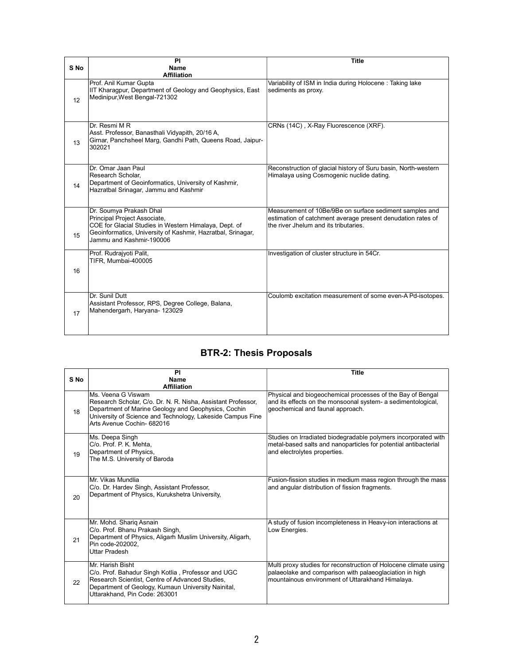|      | <b>PI</b>                                                                                                                                                                                                   | <b>Title</b>                                                                                                                                                    |
|------|-------------------------------------------------------------------------------------------------------------------------------------------------------------------------------------------------------------|-----------------------------------------------------------------------------------------------------------------------------------------------------------------|
| S No | Name                                                                                                                                                                                                        |                                                                                                                                                                 |
|      | <b>Affiliation</b>                                                                                                                                                                                          |                                                                                                                                                                 |
| 12   | Prof. Anil Kumar Gupta<br>IIT Kharagpur, Department of Geology and Geophysics, East<br>Medinipur, West Bengal-721302                                                                                        | Variability of ISM in India during Holocene: Taking lake<br>sediments as proxy.                                                                                 |
| 13   | Dr. Resmi M R<br>Asst. Professor, Banasthali Vidyapith, 20/16 A,<br>Girnar, Panchsheel Marg, Gandhi Path, Queens Road, Jaipur-<br>302021                                                                    | CRNs (14C), X-Ray Fluorescence (XRF).                                                                                                                           |
| 14   | Dr. Omar Jaan Paul<br>Research Scholar.<br>Department of Geoinformatics, University of Kashmir,<br>Hazratbal Srinagar, Jammu and Kashmir                                                                    | Reconstruction of glacial history of Suru basin, North-western<br>Himalaya using Cosmogenic nuclide dating.                                                     |
| 15   | Dr. Soumya Prakash Dhal<br>Principal Project Associate,<br>COE for Glacial Studies in Western Himalaya, Dept. of<br>Geoinformatics, University of Kashmir, Hazratbal, Srinagar,<br>Jammu and Kashmir-190006 | Measurement of 10Be/9Be on surface sediment samples and<br>estimation of catchment average present denudation rates of<br>the river Jhelum and its tributaries. |
| 16   | Prof. Rudrajyoti Palit,<br>TIFR, Mumbai-400005                                                                                                                                                              | Investigation of cluster structure in 54Cr.                                                                                                                     |
| 17   | Dr. Sunil Dutt<br>Assistant Professor, RPS, Degree College, Balana,<br>Mahendergarh, Haryana- 123029                                                                                                        | Coulomb excitation measurement of some even-A Pd-isotopes.                                                                                                      |

## BTR-2: Thesis Proposals

| S No | PI<br>Name<br><b>Affiliation</b>                                                                                                                                                                                                     | <b>Title</b>                                                                                                                                                                    |
|------|--------------------------------------------------------------------------------------------------------------------------------------------------------------------------------------------------------------------------------------|---------------------------------------------------------------------------------------------------------------------------------------------------------------------------------|
| 18   | Ms Veena G Viswam<br>Research Scholar, C/o. Dr. N. R. Nisha, Assistant Professor,<br>Department of Marine Geology and Geophysics, Cochin<br>University of Science and Technology, Lakeside Campus Fine<br>Arts Avenue Cochin- 682016 | Physical and biogeochemical processes of the Bay of Bengal<br>and its effects on the monsoonal system- a sedimentological,<br>geochemical and faunal approach.                  |
| 19   | Ms. Deepa Singh<br>C/o. Prof. P. K. Mehta.<br>Department of Physics,<br>The M.S. University of Baroda                                                                                                                                | Studies on Irradiated biodegradable polymers incorporated with<br>metal-based salts and nanoparticles for potential antibacterial<br>and electrolytes properties.               |
| 20   | Mr. Vikas Mundlia<br>C/o. Dr. Hardev Singh, Assistant Professor,<br>Department of Physics, Kurukshetra University,                                                                                                                   | Fusion-fission studies in medium mass region through the mass<br>and angular distribution of fission fragments.                                                                 |
| 21   | Mr. Mohd. Shariq Asnain<br>C/o. Prof. Bhanu Prakash Singh,<br>Department of Physics, Aligarh Muslim University, Aligarh,<br>Pin code-202002.<br>Uttar Pradesh                                                                        | A study of fusion incompleteness in Heavy-ion interactions at<br>Low Energies.                                                                                                  |
| 22   | Mr. Harish Bisht<br>C/o. Prof. Bahadur Singh Kotlia, Professor and UGC<br>Research Scientist, Centre of Advanced Studies,<br>Department of Geology, Kumaun University Nainital,<br>Uttarakhand. Pin Code: 263001                     | Multi proxy studies for reconstruction of Holocene climate using<br>palaeolake and comparison with palaeoglaciation in high<br>mountainous environment of Uttarakhand Himalaya. |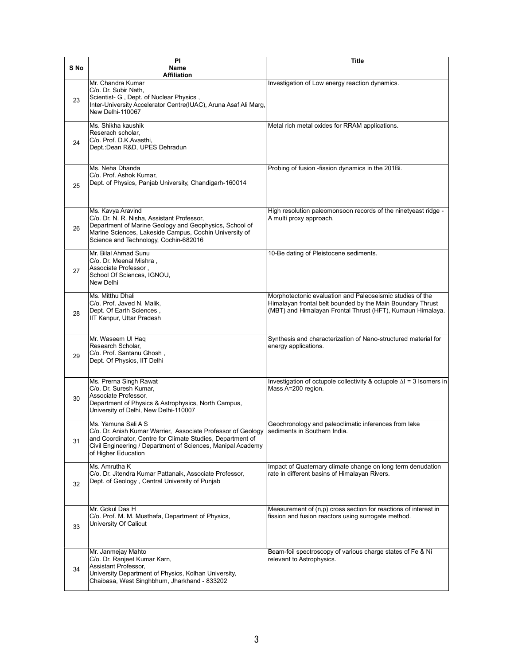| S No | $\overline{P}$<br>Name                                                                                                                                                                                                                                               | Title                                                                                                                                                                                 |
|------|----------------------------------------------------------------------------------------------------------------------------------------------------------------------------------------------------------------------------------------------------------------------|---------------------------------------------------------------------------------------------------------------------------------------------------------------------------------------|
|      | <b>Affiliation</b>                                                                                                                                                                                                                                                   |                                                                                                                                                                                       |
| 23   | Mr. Chandra Kumar<br>C/o. Dr. Subir Nath,<br>Scientist- G, Dept. of Nuclear Physics,<br>Inter-University Accelerator Centre(IUAC), Aruna Asaf Ali Marg,<br>New Delhi-110067                                                                                          | Investigation of Low energy reaction dynamics.                                                                                                                                        |
| 24   | Ms. Shikha kaushik<br>Reserach scholar,<br>C/o. Prof. D.K.Avasthi,<br>Dept.: Dean R&D, UPES Dehradun                                                                                                                                                                 | Metal rich metal oxides for RRAM applications.                                                                                                                                        |
| 25   | Ms. Neha Dhanda<br>C/o. Prof. Ashok Kumar,<br>Dept. of Physics, Panjab University, Chandigarh-160014                                                                                                                                                                 | Probing of fusion -fission dynamics in the 201Bi.                                                                                                                                     |
| 26   | Ms. Kavya Aravind<br>C/o. Dr. N. R. Nisha, Assistant Professor,<br>Department of Marine Geology and Geophysics, School of<br>Marine Sciences, Lakeside Campus, Cochin University of<br>Science and Technology, Cochin-682016                                         | High resolution paleomonsoon records of the ninetyeast ridge -<br>A multi proxy approach.                                                                                             |
| 27   | Mr. Bilal Ahmad Sunu<br>C/o. Dr. Meenal Mishra,<br>Associate Professor,<br>School Of Sciences, IGNOU,<br>New Delhi                                                                                                                                                   | 10-Be dating of Pleistocene sediments.                                                                                                                                                |
| 28   | Ms. Mitthu Dhali<br>C/o. Prof. Javed N. Malik,<br>Dept. Of Earth Sciences,<br>IIT Kanpur, Uttar Pradesh                                                                                                                                                              | Morphotectonic evaluation and Paleoseismic studies of the<br>Himalayan frontal belt bounded by the Main Boundary Thrust<br>(MBT) and Himalayan Frontal Thrust (HFT), Kumaun Himalaya. |
| 29   | Mr. Waseem UI Haq<br>Research Scholar,<br>C/o. Prof. Santanu Ghosh,<br>Dept. Of Physics, IIT Delhi                                                                                                                                                                   | Synthesis and characterization of Nano-structured material for<br>energy applications.                                                                                                |
| 30   | Ms. Prerna Singh Rawat<br>C/o. Dr. Suresh Kumar,<br>Associate Professor,<br>Department of Physics & Astrophysics, North Campus,<br>University of Delhi, New Delhi-110007                                                                                             | Investigation of octupole collectivity & octupole $\Delta I = 3$ Isomers in<br>Mass A=200 region.                                                                                     |
| 31   | Ms. Yamuna Sali A S<br>C/o. Dr. Anish Kumar Warrier. Associate Professor of Geology Sediments in Southern India.<br>and Coordinator, Centre for Climate Studies, Department of<br>Civil Engineering / Department of Sciences, Manipal Academy<br>of Higher Education | Geochronology and paleoclimatic inferences from lake                                                                                                                                  |
| 32   | Ms. Amrutha K<br>C/o. Dr. Jitendra Kumar Pattanaik, Associate Professor,<br>Dept. of Geology, Central University of Punjab                                                                                                                                           | Impact of Quaternary climate change on long term denudation<br>rate in different basins of Himalayan Rivers.                                                                          |
| 33   | Mr. Gokul Das H<br>C/o. Prof. M. M. Musthafa, Department of Physics,<br>University Of Calicut                                                                                                                                                                        | Measurement of (n,p) cross section for reactions of interest in<br>fission and fusion reactors using surrogate method.                                                                |
| 34   | Mr. Janmejay Mahto<br>C/o. Dr. Ranjeet Kumar Karn,<br>Assistant Professor,<br>University Department of Physics, Kolhan University,<br>Chaibasa, West Singhbhum, Jharkhand - 833202                                                                                   | Beam-foil spectroscopy of various charge states of Fe & Ni<br>relevant to Astrophysics.                                                                                               |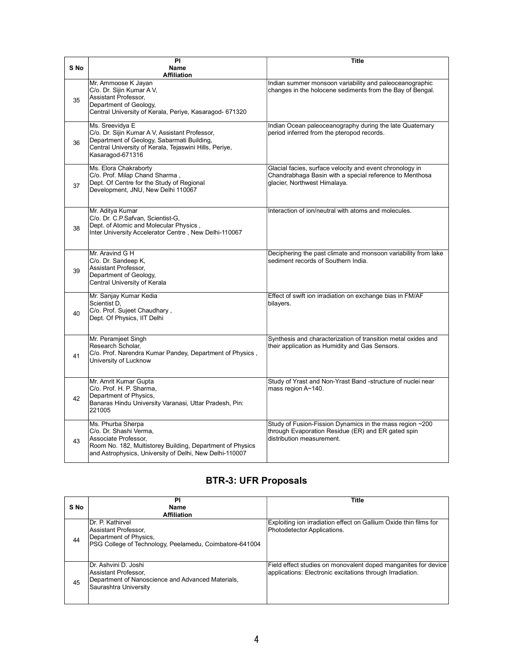| S No | $\overline{PI}$<br>Name<br><b>Affiliation</b>                                                                                                                                                 | <b>Title</b>                                                                                                                                        |
|------|-----------------------------------------------------------------------------------------------------------------------------------------------------------------------------------------------|-----------------------------------------------------------------------------------------------------------------------------------------------------|
| 35   | Mr. Ammoose K Jayan<br>C/o. Dr. Sijin Kumar A V,<br>Assistant Professor,<br>Department of Geology,<br>Central University of Kerala, Periye, Kasaragod- 671320                                 | Indian summer monsoon variability and paleoceanographic<br>changes in the holocene sediments from the Bay of Bengal.                                |
| 36   | Ms. Sreevidya E<br>C/o. Dr. Sijin Kumar A V, Assistant Professor,<br>Department of Geology, Sabarmati Building,<br>Central University of Kerala, Tejaswini Hills, Periye,<br>Kasaragod-671316 | Indian Ocean paleoceanography during the late Quaternary<br>period inferred from the pteropod records.                                              |
| 37   | Ms. Elora Chakraborty<br>C/o. Prof. Milap Chand Sharma,<br>Dept. Of Centre for the Study of Regional<br>Development, JNU, New Delhi 110067                                                    | Glacial facies, surface velocity and event chronology in<br>Chandrabhaga Basin with a special reference to Menthosa<br>glacier, Northwest Himalaya. |
| 38   | Mr. Aditya Kumar<br>C/o. Dr. C.P.Safvan, Scientist-G,<br>Dept. of Atomic and Molecular Physics,<br>Inter University Accelerator Centre, New Delhi-110067                                      | Interaction of ion/neutral with atoms and molecules.                                                                                                |
| 39   | Mr. Aravind G H<br>C/o. Dr. Sandeep K,<br>Assistant Professor,<br>Department of Geology,<br>Central University of Kerala                                                                      | Deciphering the past climate and monsoon variability from lake<br>sediment records of Southern India.                                               |
| 40   | Mr. Sanjay Kumar Kedia<br>Scientist D,<br>C/o. Prof. Sujeet Chaudhary,<br>Dept. Of Physics, IIT Delhi                                                                                         | Effect of swift ion irradiation on exchange bias in FM/AF<br>bilayers.                                                                              |
| 41   | Mr. Peramjeet Singh<br>Research Scholar.<br>C/o. Prof. Narendra Kumar Pandey, Department of Physics,<br>University of Lucknow                                                                 | Synthesis and characterization of transition metal oxides and<br>their application as Humidity and Gas Sensors.                                     |
| 42   | Mr. Amrit Kumar Gupta<br>C/o. Prof. H. P. Sharma,<br>Department of Physics,<br>Banaras Hindu University Varanasi, Uttar Pradesh, Pin:<br>221005                                               | Study of Yrast and Non-Yrast Band -structure of nuclei near<br>mass region A~140.                                                                   |
| 43   | Ms. Phurba Sherpa<br>C/o. Dr. Shashi Verma.<br>Associate Professor,<br>Room No. 182, Multistorey Building, Department of Physics<br>and Astrophysics, University of Delhi, New Delhi-110007   | Study of Fusion-Fission Dynamics in the mass region ~200<br>through Evaporation Residue (ER) and ER gated spin<br>distribution measurement.         |

## BTR-3: UFR Proposals

| S No | PI<br>Name<br><b>Affiliation</b>                                                                                               | Title                                                                                                                       |
|------|--------------------------------------------------------------------------------------------------------------------------------|-----------------------------------------------------------------------------------------------------------------------------|
| 44   | IDr. P. Kathirvel<br>Assistant Professor,<br>Department of Physics,<br>PSG College of Technology, Peelamedu, Coimbatore-641004 | Exploiting ion irradiation effect on Gallium Oxide thin films for<br>Photodetector Applications.                            |
| 45   | Dr. Ashvini D. Joshi<br>Assistant Professor,<br>Department of Nanoscience and Advanced Materials,<br>Saurashtra University     | Field effect studies on monovalent doped manganites for device<br>applications: Electronic excitations through Irradiation. |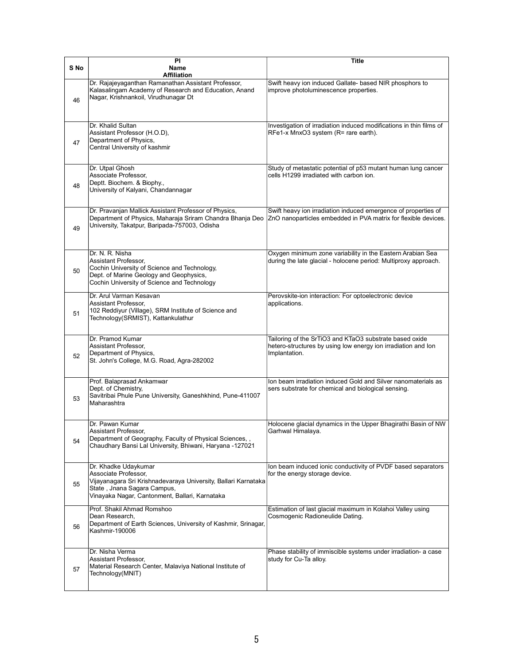|      | PI                                                                                                                                                                                              | Title                                                                                                                                     |
|------|-------------------------------------------------------------------------------------------------------------------------------------------------------------------------------------------------|-------------------------------------------------------------------------------------------------------------------------------------------|
| S No | Name<br><b>Affiliation</b>                                                                                                                                                                      |                                                                                                                                           |
| 46   | Dr. Rajajeyaganthan Ramanathan Assistant Professor,<br>Kalasalingam Academy of Research and Education, Anand<br>Nagar, Krishnankoil, Virudhunagar Dt                                            | Swift heavy ion induced Gallate- based NIR phosphors to<br>improve photoluminescence properties.                                          |
| 47   | Dr. Khalid Sultan<br>Assistant Professor (H.O.D),<br>Department of Physics,<br>Central University of kashmir                                                                                    | Investigation of irradiation induced modifications in thin films of<br>RFe1-x MnxO3 system (R= rare earth).                               |
| 48   | Dr. Utpal Ghosh<br>Associate Professor,<br>Deptt. Biochem. & Biophy.,<br>University of Kalyani, Chandannagar                                                                                    | Study of metastatic potential of p53 mutant human lung cancer<br>cells H1299 irradiated with carbon ion.                                  |
| 49   | Dr. Pravanjan Mallick Assistant Professor of Physics,<br>Department of Physics, Maharaja Sriram Chandra Bhanja Deo<br>University, Takatpur, Baripada-757003, Odisha                             | Swift heavy ion irradiation induced emergence of properties of<br>ZnO nanoparticles embedded in PVA matrix for flexible devices.          |
| 50   | Dr. N. R. Nisha<br>Assistant Professor,<br>Cochin University of Science and Technology,<br>Dept. of Marine Geology and Geophysics,<br>Cochin University of Science and Technology               | Oxygen minimum zone variability in the Eastern Arabian Sea<br>during the late glacial - holocene period: Multiproxy approach.             |
| 51   | Dr. Arul Varman Kesavan<br>Assistant Professor,<br>102 Reddiyur (Village), SRM Institute of Science and<br>Technology(SRMIST), Kattankulathur                                                   | Perovskite-ion interaction: For optoelectronic device<br>applications.                                                                    |
| 52   | Dr. Pramod Kumar<br>Assistant Professor,<br>Department of Physics,<br>St. John's College, M.G. Road, Agra-282002                                                                                | Tailoring of the SrTiO3 and KTaO3 substrate based oxide<br>hetero-structures by using low energy ion irradiation and lon<br>Implantation. |
| 53   | Prof. Balaprasad Ankamwar<br>Dept. of Chemistry,<br>Savitribai Phule Pune University, Ganeshkhind, Pune-411007<br>Maharashtra                                                                   | Ion beam irradiation induced Gold and Silver nanomaterials as<br>sers substrate for chemical and biological sensing.                      |
| 54   | Dr. Pawan Kumar<br>Assistant Professor,<br>Department of Geography, Faculty of Physical Sciences,,<br>Chaudhary Bansi Lal University, Bhiwani, Haryana -127021                                  | Holocene glacial dynamics in the Upper Bhagirathi Basin of NW<br>Garhwal Himalaya.                                                        |
| 55   | Dr. Khadke Udaykumar<br>Associate Professor,<br>Vijayanagara Sri Krishnadevaraya University, Ballari Karnataka<br>State, Jnana Sagara Campus,<br>Vinayaka Nagar, Cantonment, Ballari, Karnataka | Ion beam induced ionic conductivity of PVDF based separators<br>for the energy storage device.                                            |
| 56   | Prof. Shakil Ahmad Romshoo<br>Dean Research.<br>Department of Earth Sciences, University of Kashmir, Srinagar,<br>Kashmir-190006                                                                | Estimation of last glacial maximum in Kolahoi Valley using<br>Cosmogenic Radioneulide Dating.                                             |
| 57   | Dr. Nisha Verma<br>Assistant Professor,<br>Material Research Center, Malaviya National Institute of<br>Technology(MNIT)                                                                         | Phase stability of immiscible systems under irradiation- a case<br>study for Cu-Ta alloy.                                                 |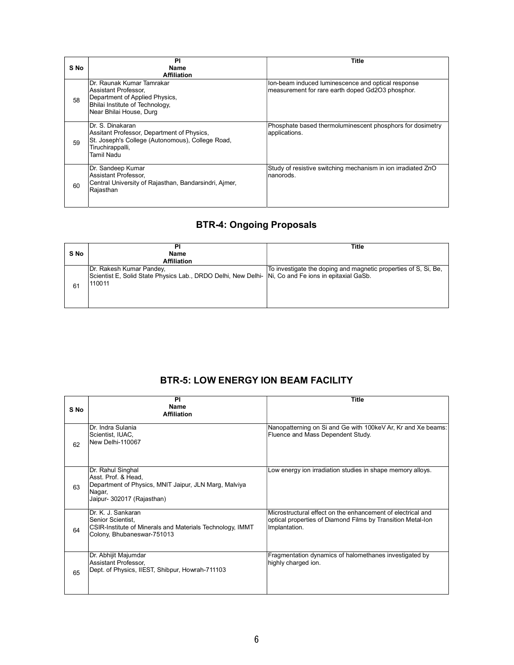| PI                      | <b>Title</b>                                                                                                                                                                                                                                                                                                                                                               |
|-------------------------|----------------------------------------------------------------------------------------------------------------------------------------------------------------------------------------------------------------------------------------------------------------------------------------------------------------------------------------------------------------------------|
| Name                    |                                                                                                                                                                                                                                                                                                                                                                            |
|                         | Ion-beam induced luminescence and optical response                                                                                                                                                                                                                                                                                                                         |
|                         | measurement for rare earth doped Gd2O3 phosphor.                                                                                                                                                                                                                                                                                                                           |
|                         |                                                                                                                                                                                                                                                                                                                                                                            |
|                         |                                                                                                                                                                                                                                                                                                                                                                            |
| Near Bhilai House, Durg |                                                                                                                                                                                                                                                                                                                                                                            |
|                         |                                                                                                                                                                                                                                                                                                                                                                            |
|                         | Phosphate based thermoluminescent phosphors for dosimetry                                                                                                                                                                                                                                                                                                                  |
|                         | applications.                                                                                                                                                                                                                                                                                                                                                              |
|                         |                                                                                                                                                                                                                                                                                                                                                                            |
|                         |                                                                                                                                                                                                                                                                                                                                                                            |
|                         |                                                                                                                                                                                                                                                                                                                                                                            |
| Dr. Sandeep Kumar       | Study of resistive switching mechanism in ion irradiated ZnO                                                                                                                                                                                                                                                                                                               |
| Assistant Professor,    | nanorods.                                                                                                                                                                                                                                                                                                                                                                  |
|                         |                                                                                                                                                                                                                                                                                                                                                                            |
|                         |                                                                                                                                                                                                                                                                                                                                                                            |
|                         |                                                                                                                                                                                                                                                                                                                                                                            |
|                         | <b>Affiliation</b><br>Dr. Raunak Kumar Tamrakar<br>Assistant Professor,<br>Department of Applied Physics,<br>Bhilai Institute of Technology,<br>Dr. S. Dinakaran<br>Assitant Professor, Department of Physics,<br>St. Joseph's College (Autonomous), College Road,<br>Tiruchirappalli,<br>Tamil Nadu<br>Central University of Rajasthan, Bandarsindri, Ajmer,<br>Rajasthan |

# BTR-4: Ongoing Proposals

| S No | ÞI<br>Name<br><b>Affiliation</b>                                                                                                          | Title                                                           |
|------|-------------------------------------------------------------------------------------------------------------------------------------------|-----------------------------------------------------------------|
| 61   | Dr. Rakesh Kumar Pandey,<br>Scientist E, Solid State Physics Lab., DRDO Delhi, New Delhi- Ni, Co and Fe ions in epitaxial GaSb.<br>110011 | To investigate the doping and magnetic properties of S, Si, Be, |

### BTR-5: LOW ENERGY ION BEAM FACILITY

| S No | PI<br>Name<br><b>Affiliation</b>                                                                                                          | <b>Title</b>                                                                                                                                |
|------|-------------------------------------------------------------------------------------------------------------------------------------------|---------------------------------------------------------------------------------------------------------------------------------------------|
| 62   | Dr. Indra Sulania<br>Scientist, IUAC,<br>New Delhi-110067                                                                                 | Nanopatterning on Si and Ge with 100keV Ar, Kr and Xe beams:<br>Fluence and Mass Dependent Study.                                           |
| 63   | Dr. Rahul Singhal<br>Asst. Prof. & Head,<br>Department of Physics, MNIT Jaipur, JLN Marg, Malviya<br>Nagar,<br>Jaipur- 302017 (Rajasthan) | Low energy ion irradiation studies in shape memory alloys.                                                                                  |
| 64   | Dr. K. J. Sankaran<br>Senior Scientist,<br>CSIR-Institute of Minerals and Materials Technology, IMMT<br>Colony, Bhubaneswar-751013        | Microstructural effect on the enhancement of electrical and<br>optical properties of Diamond Films by Transition Metal-Ion<br>Implantation. |
| 65   | Dr. Abhijit Majumdar<br>Assistant Professor,<br>Dept. of Physics, IIEST, Shibpur, Howrah-711103                                           | Fragmentation dynamics of halomethanes investigated by<br>highly charged ion.                                                               |